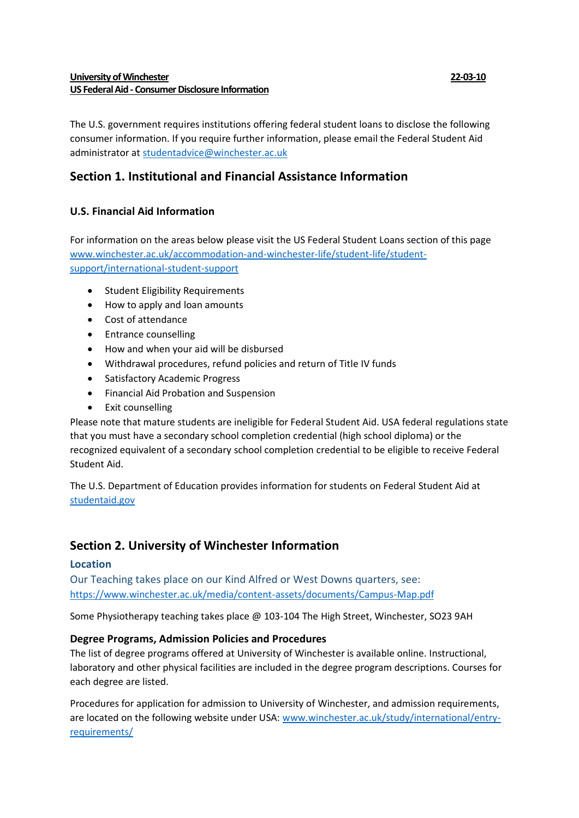# **University of Winchester 22-03-10 US Federal Aid - Consumer Disclosure Information**

The U.S. government requires institutions offering federal student loans to disclose the following consumer information. If you require further information, please email the Federal Student Aid administrator at [studentadvice@winchester.ac.uk](mailto:studentadvice@winchester.ac.uk)

# **Section 1. Institutional and Financial Assistance Information**

# **U.S. Financial Aid Information**

For information on the areas below please visit the US Federal Student Loans section of this page [www.winchester.ac.uk/accommodation-and-winchester-life/student-life/student](http://www.winchester.ac.uk/accommodation-and-winchester-life/student-life/student-support/international-student-support)[support/international-student-support](http://www.winchester.ac.uk/accommodation-and-winchester-life/student-life/student-support/international-student-support)

- Student Eligibility Requirements
- How to apply and loan amounts
- Cost of attendance
- Entrance counselling
- How and when your aid will be disbursed
- Withdrawal procedures, refund policies and return of Title IV funds
- Satisfactory Academic Progress
- Financial Aid Probation and Suspension
- Exit counselling

Please note that mature students are ineligible for Federal Student Aid. USA federal regulations state that you must have a secondary school completion credential (high school diploma) or the recognized equivalent of a secondary school completion credential to be eligible to receive Federal Student Aid.

The U.S. Department of Education provides information for students on Federal Student Aid at [studentaid.gov](https://studentaid.gov/)

# **Section 2. University of Winchester Information**

# **Location**

Our Teaching takes place on our Kind Alfred or West Downs quarters, see: <https://www.winchester.ac.uk/media/content-assets/documents/Campus-Map.pdf>

Some Physiotherapy teaching takes place @ 103-104 The High Street, Winchester, SO23 9AH

# **Degree Programs, Admission Policies and Procedures**

The list of degree programs offered at University of Winchester is available online. Instructional, laboratory and other physical facilities are included in the degree program descriptions. Courses for each degree are listed.

Procedures for application for admission to University of Winchester, and admission requirements, are located on the following website under USA: [www.winchester.ac.uk/study/international/entry](https://www.winchester.ac.uk/study/international/entry-requirements/)[requirements/](https://www.winchester.ac.uk/study/international/entry-requirements/)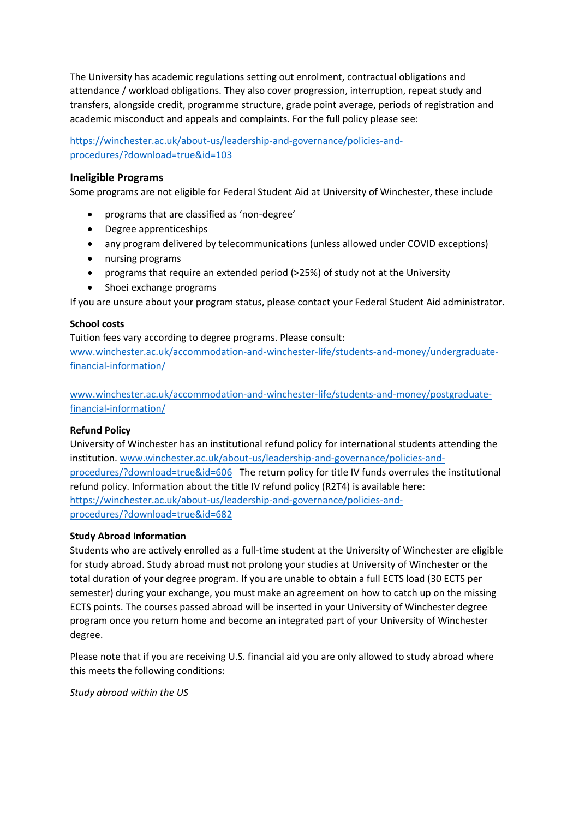The University has academic regulations setting out enrolment, contractual obligations and attendance / workload obligations. They also cover progression, interruption, repeat study and transfers, alongside credit, programme structure, grade point average, periods of registration and academic misconduct and appeals and complaints. For the full policy please see:

[https://winchester.ac.uk/about-us/leadership-and-governance/policies-and](https://winchester.ac.uk/about-us/leadership-and-governance/policies-and-procedures/?download=true&id=103)[procedures/?download=true&id=103](https://winchester.ac.uk/about-us/leadership-and-governance/policies-and-procedures/?download=true&id=103)

## **Ineligible Programs**

Some programs are not eligible for Federal Student Aid at University of Winchester, these include

- programs that are classified as 'non-degree'
- Degree apprenticeships
- any program delivered by telecommunications (unless allowed under COVID exceptions)
- nursing programs
- programs that require an extended period (>25%) of study not at the University
- Shoei exchange programs

If you are unsure about your program status, please contact your Federal Student Aid administrator.

#### **School costs**

Tuition fees vary according to degree programs. Please consult: [www.winchester.ac.uk/accommodation-and-winchester-life/students-and-money/undergraduate](https://www.winchester.ac.uk/accommodation-and-winchester-life/students-and-money/undergraduate-financial-information/)[financial-information/](https://www.winchester.ac.uk/accommodation-and-winchester-life/students-and-money/undergraduate-financial-information/)

[www.winchester.ac.uk/accommodation-and-winchester-life/students-and-money/postgraduate](https://www.winchester.ac.uk/accommodation-and-winchester-life/students-and-money/postgraduate-financial-information/)[financial-information/](https://www.winchester.ac.uk/accommodation-and-winchester-life/students-and-money/postgraduate-financial-information/)

#### **Refund Policy**

University of Winchester has an institutional refund policy for international students attending the institution. [www.winchester.ac.uk/about-us/leadership-and-governance/policies-and](https://www.winchester.ac.uk/about-us/leadership-and-governance/policies-and-procedures/?download=true&id=606)[procedures/?download=true&id=606](https://www.winchester.ac.uk/about-us/leadership-and-governance/policies-and-procedures/?download=true&id=606) The return policy for title IV funds overrules the institutional refund policy. Information about the title IV refund policy (R2T4) is available here: [https://winchester.ac.uk/about-us/leadership-and-governance/policies-and](https://winchester.ac.uk/about-us/leadership-and-governance/policies-and-procedures/?download=true&id=682)[procedures/?download=true&id=682](https://winchester.ac.uk/about-us/leadership-and-governance/policies-and-procedures/?download=true&id=682)

#### **Study Abroad Information**

Students who are actively enrolled as a full-time student at the University of Winchester are eligible for study abroad. Study abroad must not prolong your studies at University of Winchester or the total duration of your degree program. If you are unable to obtain a full ECTS load (30 ECTS per semester) during your exchange, you must make an agreement on how to catch up on the missing ECTS points. The courses passed abroad will be inserted in your University of Winchester degree program once you return home and become an integrated part of your University of Winchester degree.

Please note that if you are receiving U.S. financial aid you are only allowed to study abroad where this meets the following conditions:

*Study abroad within the US*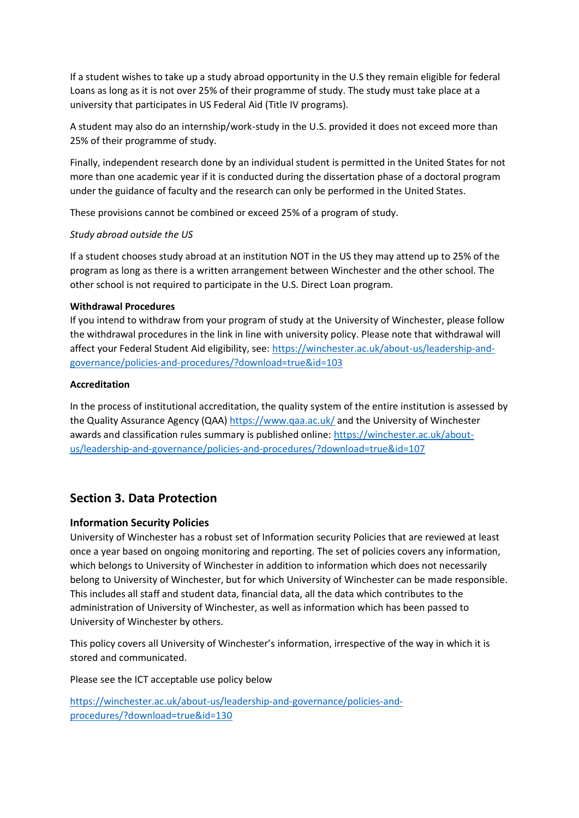If a student wishes to take up a study abroad opportunity in the U.S they remain eligible for federal Loans as long as it is not over 25% of their programme of study. The study must take place at a university that participates in US Federal Aid (Title IV programs).

A student may also do an internship/work-study in the U.S. provided it does not exceed more than 25% of their programme of study.

Finally, independent research done by an individual student is permitted in the United States for not more than one academic year if it is conducted during the dissertation phase of a doctoral program under the guidance of faculty and the research can only be performed in the United States.

These provisions cannot be combined or exceed 25% of a program of study.

### *Study abroad outside the US*

If a student chooses study abroad at an institution NOT in the US they may attend up to 25% of the program as long as there is a written arrangement between Winchester and the other school. The other school is not required to participate in the U.S. Direct Loan program.

### **Withdrawal Procedures**

If you intend to withdraw from your program of study at the University of Winchester, please follow the withdrawal procedures in the link in line with university policy. Please note that withdrawal will affect your Federal Student Aid eligibility, see: [https://winchester.ac.uk/about-us/leadership-and](https://winchester.ac.uk/about-us/leadership-and-governance/policies-and-procedures/?download=true&id=103)[governance/policies-and-procedures/?download=true&id=103](https://winchester.ac.uk/about-us/leadership-and-governance/policies-and-procedures/?download=true&id=103)

### **Accreditation**

In the process of institutional accreditation, the quality system of the entire institution is assessed by the Quality Assurance Agency (QAA)<https://www.qaa.ac.uk/> and the University of Winchester awards and classification rules summary is published online: [https://winchester.ac.uk/about](https://winchester.ac.uk/about-us/leadership-and-governance/policies-and-procedures/?download=true&id=107)[us/leadership-and-governance/policies-and-procedures/?download=true&id=107](https://winchester.ac.uk/about-us/leadership-and-governance/policies-and-procedures/?download=true&id=107)

# **Section 3. Data Protection**

# **Information Security Policies**

University of Winchester has a robust set of Information security Policies that are reviewed at least once a year based on ongoing monitoring and reporting. The set of policies covers any information, which belongs to University of Winchester in addition to information which does not necessarily belong to University of Winchester, but for which University of Winchester can be made responsible. This includes all staff and student data, financial data, all the data which contributes to the administration of University of Winchester, as well as information which has been passed to University of Winchester by others.

This policy covers all University of Winchester's information, irrespective of the way in which it is stored and communicated.

Please see the ICT acceptable use policy below

[https://winchester.ac.uk/about-us/leadership-and-governance/policies-and](https://winchester.ac.uk/about-us/leadership-and-governance/policies-and-procedures/?download=true&id=130)[procedures/?download=true&id=130](https://winchester.ac.uk/about-us/leadership-and-governance/policies-and-procedures/?download=true&id=130)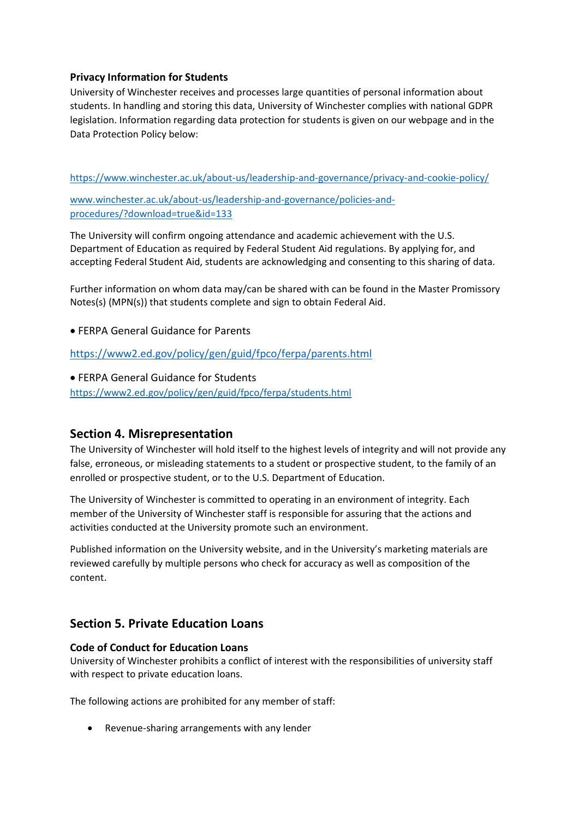# **Privacy Information for Students**

University of Winchester receives and processes large quantities of personal information about students. In handling and storing this data, University of Winchester complies with national GDPR legislation. Information regarding data protection for students is given on our webpage and in the Data Protection Policy below:

<https://www.winchester.ac.uk/about-us/leadership-and-governance/privacy-and-cookie-policy/>

[www.winchester.ac.uk/about-us/leadership-and-governance/policies-and](https://www.winchester.ac.uk/about-us/leadership-and-governance/policies-and-procedures/?download=true&id=133)[procedures/?download=true&id=133](https://www.winchester.ac.uk/about-us/leadership-and-governance/policies-and-procedures/?download=true&id=133)

The University will confirm ongoing attendance and academic achievement with the U.S. Department of Education as required by Federal Student Aid regulations. By applying for, and accepting Federal Student Aid, students are acknowledging and consenting to this sharing of data.

Further information on whom data may/can be shared with can be found in the Master Promissory Notes(s) (MPN(s)) that students complete and sign to obtain Federal Aid.

• FERPA General Guidance for Parents

<https://www2.ed.gov/policy/gen/guid/fpco/ferpa/parents.html>

• FERPA General Guidance for Students <https://www2.ed.gov/policy/gen/guid/fpco/ferpa/students.html>

# **Section 4. Misrepresentation**

The University of Winchester will hold itself to the highest levels of integrity and will not provide any false, erroneous, or misleading statements to a student or prospective student, to the family of an enrolled or prospective student, or to the U.S. Department of Education.

The University of Winchester is committed to operating in an environment of integrity. Each member of the University of Winchester staff is responsible for assuring that the actions and activities conducted at the University promote such an environment.

Published information on the University website, and in the University's marketing materials are reviewed carefully by multiple persons who check for accuracy as well as composition of the content.

# **Section 5. Private Education Loans**

# **Code of Conduct for Education Loans**

University of Winchester prohibits a conflict of interest with the responsibilities of university staff with respect to private education loans.

The following actions are prohibited for any member of staff:

• Revenue-sharing arrangements with any lender